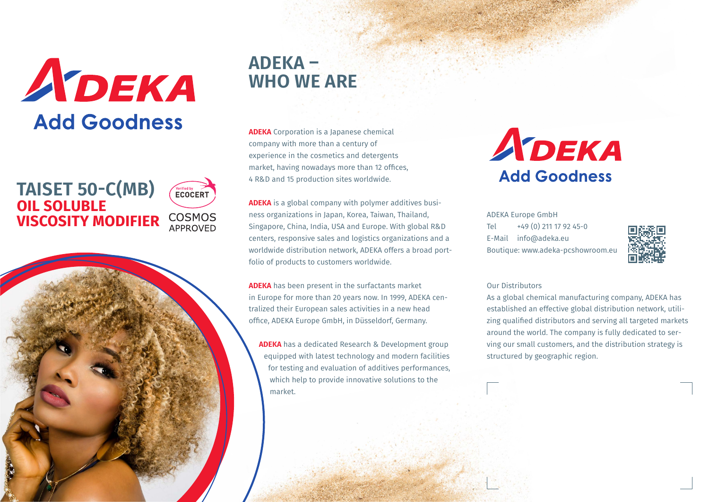# ADEKA **Add Goodness**

## **TAISET 50-C(MB) OIL SOLUBLE VISCOSITY MODIFIER**



## **ADEKA – WHO WE ARE**

**ADEKA** Corporation is a Japanese chemical company with more than a century of experience in the cosmetics and detergents market, having nowadays more than 12 offices, 4 R&D and 15 production sites worldwide.

**ADEKA** is a global company with polymer additives business organizations in Japan, Korea, Taiwan, Thailand, Singapore, China, India, USA and Europe. With global R&D centers, responsive sales and logistics organizations and a worldwide distribution network, ADEKA offers a broad portfolio of products to customers worldwide.

**ADEKA** has been present in the surfactants market in Europe for more than 20 years now. In 1999, ADEKA centralized their European sales activities in a new head office, ADEKA Europe GmbH, in Düsseldorf, Germany.

**ADEKA** has a dedicated Research & Development group equipped with latest technology and modern facilities for testing and evaluation of additives performances, which help to provide innovative solutions to the market.

## ADEKA **Add Goodness**

ADEKA Europe GmbH Tel +49 (0) 211 17 92 45-0 E-Mail info@adeka.eu Boutique: www.adeka-pcshowroom.eu



#### Our Distributors

As a global chemical manufacturing company, ADEKA has established an effective global distribution network, utilizing qualified distributors and serving all targeted markets around the world. The company is fully dedicated to serving our small customers, and the distribution strategy is structured by geographic region.